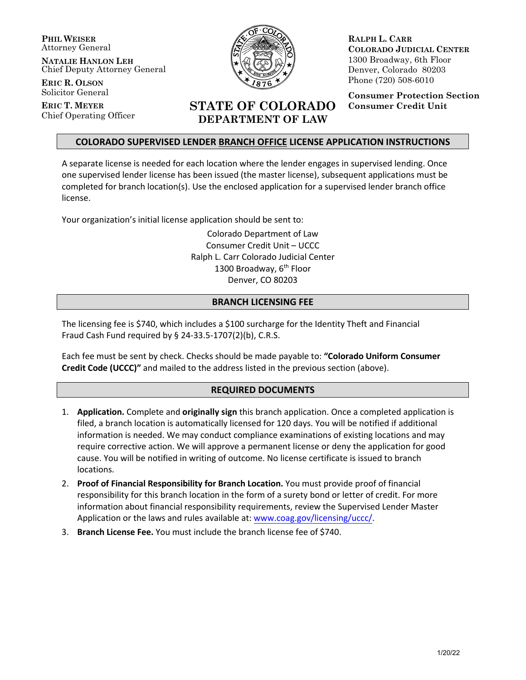**PHIL WEISER** Attorney General

**NATALIE HANLON LEH** Chief Deputy Attorney General

**ERIC R. OLSON** Solicitor General

**ERIC T. MEYER** Chief Operating Officer



**RALPH L. CARR COLORADO JUDICIAL CENTER** 1300 Broadway, 6th Floor Denver, Colorado 80203 Phone (720) 508-6010

**STATE OF COLORADO DEPARTMENT OF LAW Consumer Protection Section Consumer Credit Unit**

## **COLORADO SUPERVISED LENDER BRANCH OFFICE LICENSE APPLICATION INSTRUCTIONS**

A separate license is needed for each location where the lender engages in supervised lending. Once one supervised lender license has been issued (the master license), subsequent applications must be completed for branch location(s). Use the enclosed application for a supervised lender branch office license.

Your organization's initial license application should be sent to:

Colorado Department of Law Consumer Credit Unit – UCCC Ralph L. Carr Colorado Judicial Center 1300 Broadway, 6<sup>th</sup> Floor Denver, CO 80203

## **BRANCH LICENSING FEE**

The licensing fee is \$740, which includes a \$100 surcharge for the Identity Theft and Financial Fraud Cash Fund required by § 24-33.5-1707(2)(b), C.R.S.

Each fee must be sent by check. Checks should be made payable to: **"Colorado Uniform Consumer Credit Code (UCCC)"** and mailed to the address listed in the previous section (above).

## **REQUIRED DOCUMENTS**

- 1. **Application.** Complete and **originally sign** this branch application. Once a completed application is filed, a branch location is automatically licensed for 120 days. You will be notified if additional information is needed. We may conduct compliance examinations of existing locations and may require corrective action. We will approve a permanent license or deny the application for good cause. You will be notified in writing of outcome. No license certificate is issued to branch locations.
- 2. **Proof of Financial Responsibility for Branch Location.** You must provide proof of financial responsibility for this branch location in the form of a surety bond or letter of credit. For more information about financial responsibility requirements, review the Supervised Lender Master Application or the laws and rules available at: www.coag.gov/licensing/uccc/.
- 3. **Branch License Fee.** You must include the branch license fee of \$740.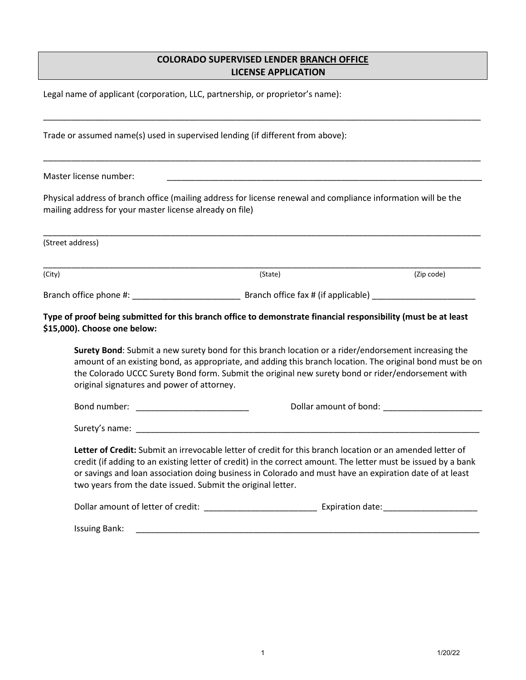## **COLORADO SUPERVISED LENDER BRANCH OFFICE LICENSE APPLICATION**

\_\_\_\_\_\_\_\_\_\_\_\_\_\_\_\_\_\_\_\_\_\_\_\_\_\_\_\_\_\_\_\_\_\_\_\_\_\_\_\_\_\_\_\_\_\_\_\_\_\_\_\_\_\_\_\_\_\_\_\_\_\_\_\_\_\_\_\_\_\_\_\_\_\_\_\_\_\_\_\_\_\_\_\_\_\_\_\_\_\_\_\_\_

\_\_\_\_\_\_\_\_\_\_\_\_\_\_\_\_\_\_\_\_\_\_\_\_\_\_\_\_\_\_\_\_\_\_\_\_\_\_\_\_\_\_\_\_\_\_\_\_\_\_\_\_\_\_\_\_\_\_\_\_\_\_\_\_\_\_\_\_\_\_\_\_\_\_\_\_\_\_\_\_\_\_\_\_\_\_\_\_\_\_\_\_\_

Legal name of applicant (corporation, LLC, partnership, or proprietor's name):

Trade or assumed name(s) used in supervised lending (if different from above):

Master license number:

Physical address of branch office (mailing address for license renewal and compliance information will be the mailing address for your master license already on file)

| (Street address)                           |                                                                                                                                                                                                                                                                                                                                                                                                      |            |
|--------------------------------------------|------------------------------------------------------------------------------------------------------------------------------------------------------------------------------------------------------------------------------------------------------------------------------------------------------------------------------------------------------------------------------------------------------|------------|
| (City)                                     | (State)                                                                                                                                                                                                                                                                                                                                                                                              | (Zip code) |
|                                            |                                                                                                                                                                                                                                                                                                                                                                                                      |            |
| \$15,000). Choose one below:               | Type of proof being submitted for this branch office to demonstrate financial responsibility (must be at least                                                                                                                                                                                                                                                                                       |            |
| original signatures and power of attorney. | Surety Bond: Submit a new surety bond for this branch location or a rider/endorsement increasing the<br>amount of an existing bond, as appropriate, and adding this branch location. The original bond must be on<br>the Colorado UCCC Surety Bond form. Submit the original new surety bond or rider/endorsement with                                                                               |            |
| Bond number: _____________________________ |                                                                                                                                                                                                                                                                                                                                                                                                      |            |
|                                            |                                                                                                                                                                                                                                                                                                                                                                                                      |            |
|                                            | Letter of Credit: Submit an irrevocable letter of credit for this branch location or an amended letter of<br>credit (if adding to an existing letter of credit) in the correct amount. The letter must be issued by a bank<br>or savings and loan association doing business in Colorado and must have an expiration date of at least<br>two years from the date issued. Submit the original letter. |            |
|                                            |                                                                                                                                                                                                                                                                                                                                                                                                      |            |
| <b>Issuing Bank:</b>                       |                                                                                                                                                                                                                                                                                                                                                                                                      |            |